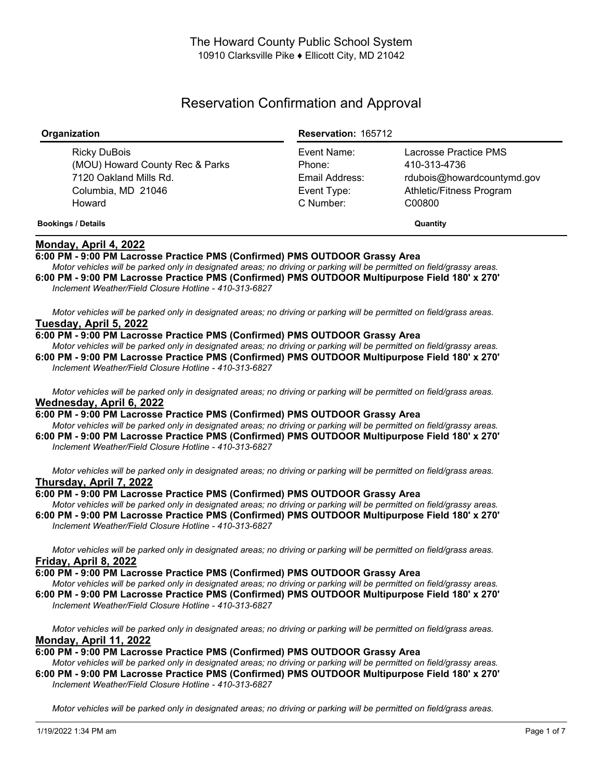# Reservation Confirmation and Approval

| Organization                                                                                              | <b>Reservation: 165712</b>                                          |                                                                                                           |
|-----------------------------------------------------------------------------------------------------------|---------------------------------------------------------------------|-----------------------------------------------------------------------------------------------------------|
| Ricky DuBois<br>(MOU) Howard County Rec & Parks<br>7120 Oakland Mills Rd.<br>Columbia, MD 21046<br>Howard | Event Name:<br>Phone:<br>Email Address:<br>Event Type:<br>C Number: | Lacrosse Practice PMS<br>410-313-4736<br>rdubois@howardcountymd.gov<br>Athletic/Fitness Program<br>C00800 |
| <b>Bookings / Details</b>                                                                                 |                                                                     | Quantity                                                                                                  |

# **Monday, April 4, 2022**

# **6:00 PM - 9:00 PM Lacrosse Practice PMS (Confirmed) PMS OUTDOOR Grassy Area**

Motor vehicles will be parked only in designated areas; no driving or parking will be permitted on field/grassy areas. **6:00 PM - 9:00 PM Lacrosse Practice PMS (Confirmed) PMS OUTDOOR Multipurpose Field 180' x 270'** *Inclement Weather/Field Closure Hotline - 410-313-6827*

Motor vehicles will be parked only in designated areas; no driving or parking will be permitted on field/grass areas. **Tuesday, April 5, 2022**

## **6:00 PM - 9:00 PM Lacrosse Practice PMS (Confirmed) PMS OUTDOOR Grassy Area**

Motor vehicles will be parked only in designated areas; no driving or parking will be permitted on field/grassy areas. **6:00 PM - 9:00 PM Lacrosse Practice PMS (Confirmed) PMS OUTDOOR Multipurpose Field 180' x 270'** *Inclement Weather/Field Closure Hotline - 410-313-6827*

Motor vehicles will be parked only in designated areas; no driving or parking will be permitted on field/grass areas. **Wednesday, April 6, 2022**

**6:00 PM - 9:00 PM Lacrosse Practice PMS (Confirmed) PMS OUTDOOR Grassy Area**

Motor vehicles will be parked only in designated areas; no driving or parking will be permitted on field/grassy areas. **6:00 PM - 9:00 PM Lacrosse Practice PMS (Confirmed) PMS OUTDOOR Multipurpose Field 180' x 270'** *Inclement Weather/Field Closure Hotline - 410-313-6827*

Motor vehicles will be parked only in designated areas; no driving or parking will be permitted on field/grass areas. **Thursday, April 7, 2022**

#### **6:00 PM - 9:00 PM Lacrosse Practice PMS (Confirmed) PMS OUTDOOR Grassy Area**

Motor vehicles will be parked only in designated areas; no driving or parking will be permitted on field/grassy areas. **6:00 PM - 9:00 PM Lacrosse Practice PMS (Confirmed) PMS OUTDOOR Multipurpose Field 180' x 270'** *Inclement Weather/Field Closure Hotline - 410-313-6827*

Motor vehicles will be parked only in designated areas; no driving or parking will be permitted on field/grass areas. **Friday, April 8, 2022**

**6:00 PM - 9:00 PM Lacrosse Practice PMS (Confirmed) PMS OUTDOOR Grassy Area**

Motor vehicles will be parked only in designated areas; no driving or parking will be permitted on field/grassy areas.

**6:00 PM - 9:00 PM Lacrosse Practice PMS (Confirmed) PMS OUTDOOR Multipurpose Field 180' x 270'** *Inclement Weather/Field Closure Hotline - 410-313-6827*

Motor vehicles will be parked only in designated areas; no driving or parking will be permitted on field/grass areas. **Monday, April 11, 2022**

**6:00 PM - 9:00 PM Lacrosse Practice PMS (Confirmed) PMS OUTDOOR Grassy Area**

Motor vehicles will be parked only in designated areas; no driving or parking will be permitted on field/grassy areas. **6:00 PM - 9:00 PM Lacrosse Practice PMS (Confirmed) PMS OUTDOOR Multipurpose Field 180' x 270'** *Inclement Weather/Field Closure Hotline - 410-313-6827*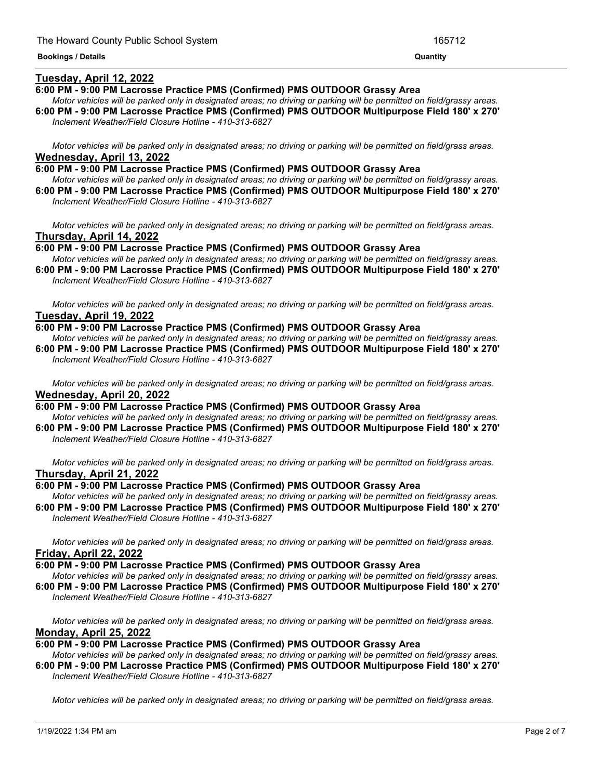# **Tuesday, April 12, 2022**

# **6:00 PM - 9:00 PM Lacrosse Practice PMS (Confirmed) PMS OUTDOOR Grassy Area**

Motor vehicles will be parked only in designated areas; no driving or parking will be permitted on field/grassy areas. **6:00 PM - 9:00 PM Lacrosse Practice PMS (Confirmed) PMS OUTDOOR Multipurpose Field 180' x 270'** *Inclement Weather/Field Closure Hotline - 410-313-6827*

<u> 1989 - Andrea Andrew Maria (h. 1989).</u>

Motor vehicles will be parked only in designated areas; no driving or parking will be permitted on field/grass areas. **Wednesday, April 13, 2022**

**6:00 PM - 9:00 PM Lacrosse Practice PMS (Confirmed) PMS OUTDOOR Grassy Area** Motor vehicles will be parked only in designated areas; no driving or parking will be permitted on field/grassy areas.

**6:00 PM - 9:00 PM Lacrosse Practice PMS (Confirmed) PMS OUTDOOR Multipurpose Field 180' x 270'** *Inclement Weather/Field Closure Hotline - 410-313-6827*

Motor vehicles will be parked only in designated areas; no driving or parking will be permitted on field/grass areas. **Thursday, April 14, 2022**

**6:00 PM - 9:00 PM Lacrosse Practice PMS (Confirmed) PMS OUTDOOR Grassy Area**

Motor vehicles will be parked only in designated areas; no driving or parking will be permitted on field/grassy areas. **6:00 PM - 9:00 PM Lacrosse Practice PMS (Confirmed) PMS OUTDOOR Multipurpose Field 180' x 270'**

*Inclement Weather/Field Closure Hotline - 410-313-6827*

Motor vehicles will be parked only in designated areas; no driving or parking will be permitted on field/grass areas. **Tuesday, April 19, 2022**

**6:00 PM - 9:00 PM Lacrosse Practice PMS (Confirmed) PMS OUTDOOR Grassy Area**

Motor vehicles will be parked only in designated areas: no driving or parking will be permitted on field/grassy areas. **6:00 PM - 9:00 PM Lacrosse Practice PMS (Confirmed) PMS OUTDOOR Multipurpose Field 180' x 270'** *Inclement Weather/Field Closure Hotline - 410-313-6827*

Motor vehicles will be parked only in designated areas; no driving or parking will be permitted on field/grass areas. **Wednesday, April 20, 2022**

**6:00 PM - 9:00 PM Lacrosse Practice PMS (Confirmed) PMS OUTDOOR Grassy Area**

Motor vehicles will be parked only in designated areas; no driving or parking will be permitted on field/grassy areas. **6:00 PM - 9:00 PM Lacrosse Practice PMS (Confirmed) PMS OUTDOOR Multipurpose Field 180' x 270'** *Inclement Weather/Field Closure Hotline - 410-313-6827*

Motor vehicles will be parked only in designated areas: no driving or parking will be permitted on field/grass areas. **Thursday, April 21, 2022**

## **6:00 PM - 9:00 PM Lacrosse Practice PMS (Confirmed) PMS OUTDOOR Grassy Area**

Motor vehicles will be parked only in designated areas; no driving or parking will be permitted on field/grassy areas. **6:00 PM - 9:00 PM Lacrosse Practice PMS (Confirmed) PMS OUTDOOR Multipurpose Field 180' x 270'** *Inclement Weather/Field Closure Hotline - 410-313-6827*

Motor vehicles will be parked only in designated areas; no driving or parking will be permitted on field/grass areas. **Friday, April 22, 2022**

#### **6:00 PM - 9:00 PM Lacrosse Practice PMS (Confirmed) PMS OUTDOOR Grassy Area**

Motor vehicles will be parked only in designated areas; no driving or parking will be permitted on field/grassy areas. **6:00 PM - 9:00 PM Lacrosse Practice PMS (Confirmed) PMS OUTDOOR Multipurpose Field 180' x 270'** *Inclement Weather/Field Closure Hotline - 410-313-6827*

Motor vehicles will be parked only in designated areas; no driving or parking will be permitted on field/grass areas. **Monday, April 25, 2022**

**6:00 PM - 9:00 PM Lacrosse Practice PMS (Confirmed) PMS OUTDOOR Grassy Area**

Motor vehicles will be parked only in designated areas; no driving or parking will be permitted on field/grassy areas. **6:00 PM - 9:00 PM Lacrosse Practice PMS (Confirmed) PMS OUTDOOR Multipurpose Field 180' x 270'** *Inclement Weather/Field Closure Hotline - 410-313-6827*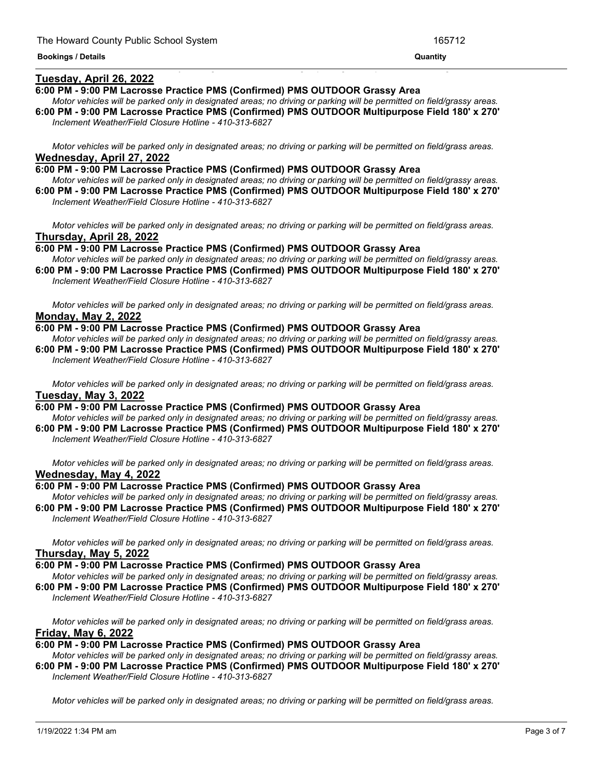## **Tuesday, April 26, 2022**

#### **6:00 PM - 9:00 PM Lacrosse Practice PMS (Confirmed) PMS OUTDOOR Grassy Area**

Motor vehicles will be parked only in designated areas; no driving or parking will be permitted on field/grassy areas. **6:00 PM - 9:00 PM Lacrosse Practice PMS (Confirmed) PMS OUTDOOR Multipurpose Field 180' x 270'**

<u> 1999 - Jan James James James James James James James James James James James James James James James James J</u>

*Inclement Weather/Field Closure Hotline - 410-313-6827*

Motor vehicles will be parked only in designated areas; no driving or parking will be permitted on field/grass areas. **Wednesday, April 27, 2022**

**6:00 PM - 9:00 PM Lacrosse Practice PMS (Confirmed) PMS OUTDOOR Grassy Area** Motor vehicles will be parked only in designated areas; no driving or parking will be permitted on field/grassy areas.

**6:00 PM - 9:00 PM Lacrosse Practice PMS (Confirmed) PMS OUTDOOR Multipurpose Field 180' x 270'** *Inclement Weather/Field Closure Hotline - 410-313-6827*

Motor vehicles will be parked only in designated areas; no driving or parking will be permitted on field/grass areas. **Thursday, April 28, 2022**

**6:00 PM - 9:00 PM Lacrosse Practice PMS (Confirmed) PMS OUTDOOR Grassy Area**

Motor vehicles will be parked only in designated areas; no driving or parking will be permitted on field/grassy areas. **6:00 PM - 9:00 PM Lacrosse Practice PMS (Confirmed) PMS OUTDOOR Multipurpose Field 180' x 270'** *Inclement Weather/Field Closure Hotline - 410-313-6827*

Motor vehicles will be parked only in designated areas; no driving or parking will be permitted on field/grass areas.

# **Monday, May 2, 2022**

**6:00 PM - 9:00 PM Lacrosse Practice PMS (Confirmed) PMS OUTDOOR Grassy Area**

Motor vehicles will be parked only in designated areas; no driving or parking will be permitted on field/grassy areas. **6:00 PM - 9:00 PM Lacrosse Practice PMS (Confirmed) PMS OUTDOOR Multipurpose Field 180' x 270'** *Inclement Weather/Field Closure Hotline - 410-313-6827*

Motor vehicles will be parked only in designated areas; no driving or parking will be permitted on field/grass areas. **Tuesday, May 3, 2022**

**6:00 PM - 9:00 PM Lacrosse Practice PMS (Confirmed) PMS OUTDOOR Grassy Area**

Motor vehicles will be parked only in designated areas; no driving or parking will be permitted on field/grassy areas. **6:00 PM - 9:00 PM Lacrosse Practice PMS (Confirmed) PMS OUTDOOR Multipurpose Field 180' x 270'** *Inclement Weather/Field Closure Hotline - 410-313-6827*

Motor vehicles will be parked only in designated areas; no driving or parking will be permitted on field/grass areas. **Wednesday, May 4, 2022**

#### **6:00 PM - 9:00 PM Lacrosse Practice PMS (Confirmed) PMS OUTDOOR Grassy Area**

Motor vehicles will be parked only in designated areas; no driving or parking will be permitted on field/grassy areas. **6:00 PM - 9:00 PM Lacrosse Practice PMS (Confirmed) PMS OUTDOOR Multipurpose Field 180' x 270'** *Inclement Weather/Field Closure Hotline - 410-313-6827*

Motor vehicles will be parked only in designated areas; no driving or parking will be permitted on field/grass areas. **Thursday, May 5, 2022**

## **6:00 PM - 9:00 PM Lacrosse Practice PMS (Confirmed) PMS OUTDOOR Grassy Area**

Motor vehicles will be parked only in designated areas; no driving or parking will be permitted on field/grassy areas. **6:00 PM - 9:00 PM Lacrosse Practice PMS (Confirmed) PMS OUTDOOR Multipurpose Field 180' x 270'** *Inclement Weather/Field Closure Hotline - 410-313-6827*

Motor vehicles will be parked only in designated areas; no driving or parking will be permitted on field/grass areas. **Friday, May 6, 2022**

#### **6:00 PM - 9:00 PM Lacrosse Practice PMS (Confirmed) PMS OUTDOOR Grassy Area**

Motor vehicles will be parked only in designated areas; no driving or parking will be permitted on field/grassy areas. **6:00 PM - 9:00 PM Lacrosse Practice PMS (Confirmed) PMS OUTDOOR Multipurpose Field 180' x 270'** *Inclement Weather/Field Closure Hotline - 410-313-6827*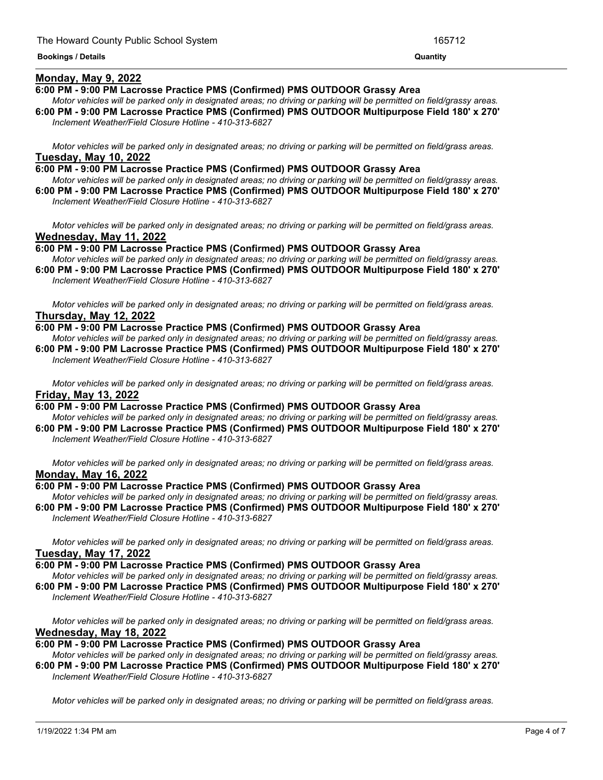# **Monday, May 9, 2022**

## **6:00 PM - 9:00 PM Lacrosse Practice PMS (Confirmed) PMS OUTDOOR Grassy Area**

Motor vehicles will be parked only in designated areas; no driving or parking will be permitted on field/grassy areas. **6:00 PM - 9:00 PM Lacrosse Practice PMS (Confirmed) PMS OUTDOOR Multipurpose Field 180' x 270'**

<u> 1989 - Andrea Andrew Maria (h. 1989).</u>

*Inclement Weather/Field Closure Hotline - 410-313-6827*

Motor vehicles will be parked only in designated areas; no driving or parking will be permitted on field/grass areas. **Tuesday, May 10, 2022**

**6:00 PM - 9:00 PM Lacrosse Practice PMS (Confirmed) PMS OUTDOOR Grassy Area** Motor vehicles will be parked only in designated areas; no driving or parking will be permitted on field/grassy areas.

**6:00 PM - 9:00 PM Lacrosse Practice PMS (Confirmed) PMS OUTDOOR Multipurpose Field 180' x 270'** *Inclement Weather/Field Closure Hotline - 410-313-6827*

Motor vehicles will be parked only in designated areas; no driving or parking will be permitted on field/grass areas. **Wednesday, May 11, 2022**

**6:00 PM - 9:00 PM Lacrosse Practice PMS (Confirmed) PMS OUTDOOR Grassy Area**

Motor vehicles will be parked only in designated areas; no driving or parking will be permitted on field/grassy areas. **6:00 PM - 9:00 PM Lacrosse Practice PMS (Confirmed) PMS OUTDOOR Multipurpose Field 180' x 270'**

*Inclement Weather/Field Closure Hotline - 410-313-6827*

Motor vehicles will be parked only in designated areas; no driving or parking will be permitted on field/grass areas. **Thursday, May 12, 2022**

## **6:00 PM - 9:00 PM Lacrosse Practice PMS (Confirmed) PMS OUTDOOR Grassy Area**

Motor vehicles will be parked only in designated areas: no driving or parking will be permitted on field/grassy areas. **6:00 PM - 9:00 PM Lacrosse Practice PMS (Confirmed) PMS OUTDOOR Multipurpose Field 180' x 270'** *Inclement Weather/Field Closure Hotline - 410-313-6827*

Motor vehicles will be parked only in designated areas; no driving or parking will be permitted on field/grass areas. **Friday, May 13, 2022**

## **6:00 PM - 9:00 PM Lacrosse Practice PMS (Confirmed) PMS OUTDOOR Grassy Area**

Motor vehicles will be parked only in designated areas; no driving or parking will be permitted on field/grassy areas. **6:00 PM - 9:00 PM Lacrosse Practice PMS (Confirmed) PMS OUTDOOR Multipurpose Field 180' x 270'** *Inclement Weather/Field Closure Hotline - 410-313-6827*

Motor vehicles will be parked only in designated areas; no driving or parking will be permitted on field/grass areas. **Monday, May 16, 2022**

## **6:00 PM - 9:00 PM Lacrosse Practice PMS (Confirmed) PMS OUTDOOR Grassy Area**

Motor vehicles will be parked only in designated areas; no driving or parking will be permitted on field/grassy areas. **6:00 PM - 9:00 PM Lacrosse Practice PMS (Confirmed) PMS OUTDOOR Multipurpose Field 180' x 270'** *Inclement Weather/Field Closure Hotline - 410-313-6827*

Motor vehicles will be parked only in designated areas; no driving or parking will be permitted on field/grass areas. **Tuesday, May 17, 2022**

## **6:00 PM - 9:00 PM Lacrosse Practice PMS (Confirmed) PMS OUTDOOR Grassy Area**

Motor vehicles will be parked only in designated areas; no driving or parking will be permitted on field/grassy areas. **6:00 PM - 9:00 PM Lacrosse Practice PMS (Confirmed) PMS OUTDOOR Multipurpose Field 180' x 270'** *Inclement Weather/Field Closure Hotline - 410-313-6827*

Motor vehicles will be parked only in designated areas; no driving or parking will be permitted on field/grass areas. **Wednesday, May 18, 2022**

## **6:00 PM - 9:00 PM Lacrosse Practice PMS (Confirmed) PMS OUTDOOR Grassy Area**

Motor vehicles will be parked only in designated areas; no driving or parking will be permitted on field/grassy areas. **6:00 PM - 9:00 PM Lacrosse Practice PMS (Confirmed) PMS OUTDOOR Multipurpose Field 180' x 270'** *Inclement Weather/Field Closure Hotline - 410-313-6827*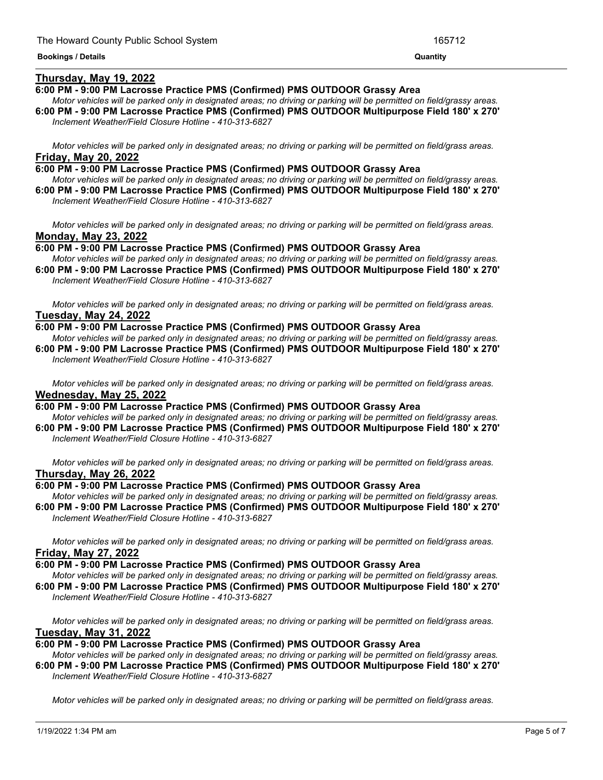## **Thursday, May 19, 2022**

## **6:00 PM - 9:00 PM Lacrosse Practice PMS (Confirmed) PMS OUTDOOR Grassy Area**

Motor vehicles will be parked only in designated areas; no driving or parking will be permitted on field/grassy areas. **6:00 PM - 9:00 PM Lacrosse Practice PMS (Confirmed) PMS OUTDOOR Multipurpose Field 180' x 270'** *Inclement Weather/Field Closure Hotline - 410-313-6827*

Motor vehicles will be parked only in designated areas; no driving or parking will be permitted on field/grass areas. **Friday, May 20, 2022**

#### **6:00 PM - 9:00 PM Lacrosse Practice PMS (Confirmed) PMS OUTDOOR Grassy Area**

Motor vehicles will be parked only in designated areas; no driving or parking will be permitted on field/grassy areas. **6:00 PM - 9:00 PM Lacrosse Practice PMS (Confirmed) PMS OUTDOOR Multipurpose Field 180' x 270'** *Inclement Weather/Field Closure Hotline - 410-313-6827*

Motor vehicles will be parked only in designated areas; no driving or parking will be permitted on field/grass areas. **Monday, May 23, 2022**

**6:00 PM - 9:00 PM Lacrosse Practice PMS (Confirmed) PMS OUTDOOR Grassy Area**

Motor vehicles will be parked only in designated areas; no driving or parking will be permitted on field/grassy areas. **6:00 PM - 9:00 PM Lacrosse Practice PMS (Confirmed) PMS OUTDOOR Multipurpose Field 180' x 270'**

*Inclement Weather/Field Closure Hotline - 410-313-6827*

Motor vehicles will be parked only in designated areas; no driving or parking will be permitted on field/grass areas. **Tuesday, May 24, 2022**

#### **6:00 PM - 9:00 PM Lacrosse Practice PMS (Confirmed) PMS OUTDOOR Grassy Area**

Motor vehicles will be parked only in designated areas: no driving or parking will be permitted on field/grassy areas. **6:00 PM - 9:00 PM Lacrosse Practice PMS (Confirmed) PMS OUTDOOR Multipurpose Field 180' x 270'** *Inclement Weather/Field Closure Hotline - 410-313-6827*

Motor vehicles will be parked only in designated areas; no driving or parking will be permitted on field/grass areas. **Wednesday, May 25, 2022**

## **6:00 PM - 9:00 PM Lacrosse Practice PMS (Confirmed) PMS OUTDOOR Grassy Area**

Motor vehicles will be parked only in designated areas; no driving or parking will be permitted on field/grassy areas. **6:00 PM - 9:00 PM Lacrosse Practice PMS (Confirmed) PMS OUTDOOR Multipurpose Field 180' x 270'** *Inclement Weather/Field Closure Hotline - 410-313-6827*

Motor vehicles will be parked only in designated areas; no driving or parking will be permitted on field/grass areas. **Thursday, May 26, 2022**

## **6:00 PM - 9:00 PM Lacrosse Practice PMS (Confirmed) PMS OUTDOOR Grassy Area**

Motor vehicles will be parked only in designated areas; no driving or parking will be permitted on field/grassy areas. **6:00 PM - 9:00 PM Lacrosse Practice PMS (Confirmed) PMS OUTDOOR Multipurpose Field 180' x 270'** *Inclement Weather/Field Closure Hotline - 410-313-6827*

Motor vehicles will be parked only in designated areas; no driving or parking will be permitted on field/grass areas. **Friday, May 27, 2022**

## **6:00 PM - 9:00 PM Lacrosse Practice PMS (Confirmed) PMS OUTDOOR Grassy Area**

Motor vehicles will be parked only in designated areas; no driving or parking will be permitted on field/grassy areas. **6:00 PM - 9:00 PM Lacrosse Practice PMS (Confirmed) PMS OUTDOOR Multipurpose Field 180' x 270'** *Inclement Weather/Field Closure Hotline - 410-313-6827*

Motor vehicles will be parked only in designated areas; no driving or parking will be permitted on field/grass areas. **Tuesday, May 31, 2022**

## **6:00 PM - 9:00 PM Lacrosse Practice PMS (Confirmed) PMS OUTDOOR Grassy Area**

Motor vehicles will be parked only in designated areas; no driving or parking will be permitted on field/grassy areas. **6:00 PM - 9:00 PM Lacrosse Practice PMS (Confirmed) PMS OUTDOOR Multipurpose Field 180' x 270'** *Inclement Weather/Field Closure Hotline - 410-313-6827*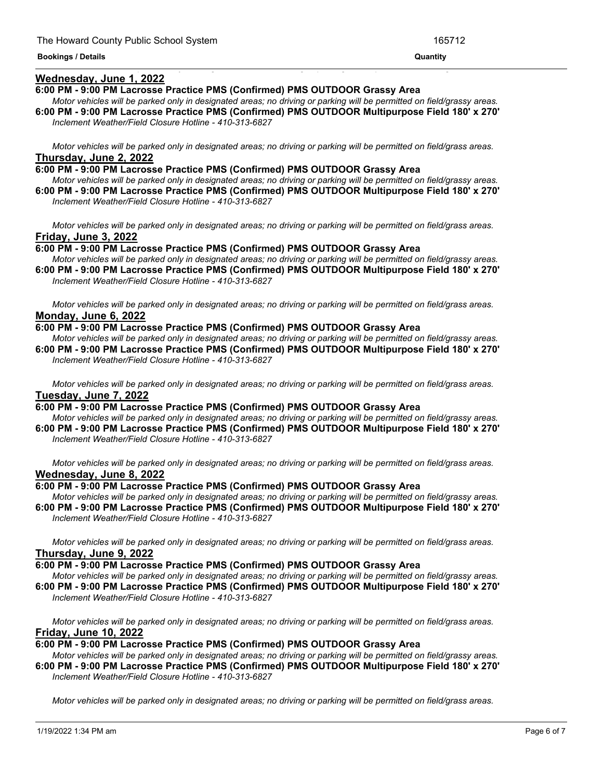# **Wednesday, June 1, 2022**

#### **6:00 PM - 9:00 PM Lacrosse Practice PMS (Confirmed) PMS OUTDOOR Grassy Area**

Motor vehicles will be parked only in designated areas; no driving or parking will be permitted on field/grassy areas. **6:00 PM - 9:00 PM Lacrosse Practice PMS (Confirmed) PMS OUTDOOR Multipurpose Field 180' x 270'**

<u> 1989 - Andrea Andrea Andrea Andrea Andrea Andrea Andrea Andrea Andrea Andrea Andrea Andrea Andrea Andrea Andr</u>

*Inclement Weather/Field Closure Hotline - 410-313-6827*

Motor vehicles will be parked only in designated areas; no driving or parking will be permitted on field/grass areas. **Thursday, June 2, 2022**

**6:00 PM - 9:00 PM Lacrosse Practice PMS (Confirmed) PMS OUTDOOR Grassy Area** Motor vehicles will be parked only in designated areas; no driving or parking will be permitted on field/grassy areas.

**6:00 PM - 9:00 PM Lacrosse Practice PMS (Confirmed) PMS OUTDOOR Multipurpose Field 180' x 270'** *Inclement Weather/Field Closure Hotline - 410-313-6827*

Motor vehicles will be parked only in designated areas; no driving or parking will be permitted on field/grass areas. **Friday, June 3, 2022**

**6:00 PM - 9:00 PM Lacrosse Practice PMS (Confirmed) PMS OUTDOOR Grassy Area**

Motor vehicles will be parked only in designated areas; no driving or parking will be permitted on field/grassy areas. **6:00 PM - 9:00 PM Lacrosse Practice PMS (Confirmed) PMS OUTDOOR Multipurpose Field 180' x 270'**

*Inclement Weather/Field Closure Hotline - 410-313-6827*

Motor vehicles will be parked only in designated areas; no driving or parking will be permitted on field/grass areas. **Monday, June 6, 2022**

## **6:00 PM - 9:00 PM Lacrosse Practice PMS (Confirmed) PMS OUTDOOR Grassy Area**

Motor vehicles will be parked only in designated areas; no driving or parking will be permitted on field/grassy areas. **6:00 PM - 9:00 PM Lacrosse Practice PMS (Confirmed) PMS OUTDOOR Multipurpose Field 180' x 270'** *Inclement Weather/Field Closure Hotline - 410-313-6827*

Motor vehicles will be parked only in designated areas; no driving or parking will be permitted on field/grass areas. **Tuesday, June 7, 2022**

**6:00 PM - 9:00 PM Lacrosse Practice PMS (Confirmed) PMS OUTDOOR Grassy Area**

Motor vehicles will be parked only in designated areas; no driving or parking will be permitted on field/grassy areas. **6:00 PM - 9:00 PM Lacrosse Practice PMS (Confirmed) PMS OUTDOOR Multipurpose Field 180' x 270'** *Inclement Weather/Field Closure Hotline - 410-313-6827*

Motor vehicles will be parked only in designated areas; no driving or parking will be permitted on field/grass areas. **Wednesday, June 8, 2022**

#### **6:00 PM - 9:00 PM Lacrosse Practice PMS (Confirmed) PMS OUTDOOR Grassy Area**

Motor vehicles will be parked only in designated areas; no driving or parking will be permitted on field/grassy areas. **6:00 PM - 9:00 PM Lacrosse Practice PMS (Confirmed) PMS OUTDOOR Multipurpose Field 180' x 270'** *Inclement Weather/Field Closure Hotline - 410-313-6827*

Motor vehicles will be parked only in designated areas; no driving or parking will be permitted on field/grass areas. **Thursday, June 9, 2022**

## **6:00 PM - 9:00 PM Lacrosse Practice PMS (Confirmed) PMS OUTDOOR Grassy Area**

Motor vehicles will be parked only in designated areas; no driving or parking will be permitted on field/grassy areas. **6:00 PM - 9:00 PM Lacrosse Practice PMS (Confirmed) PMS OUTDOOR Multipurpose Field 180' x 270'** *Inclement Weather/Field Closure Hotline - 410-313-6827*

Motor vehicles will be parked only in designated areas; no driving or parking will be permitted on field/grass areas. **Friday, June 10, 2022**

#### **6:00 PM - 9:00 PM Lacrosse Practice PMS (Confirmed) PMS OUTDOOR Grassy Area**

Motor vehicles will be parked only in designated areas; no driving or parking will be permitted on field/grassy areas. **6:00 PM - 9:00 PM Lacrosse Practice PMS (Confirmed) PMS OUTDOOR Multipurpose Field 180' x 270'** *Inclement Weather/Field Closure Hotline - 410-313-6827*